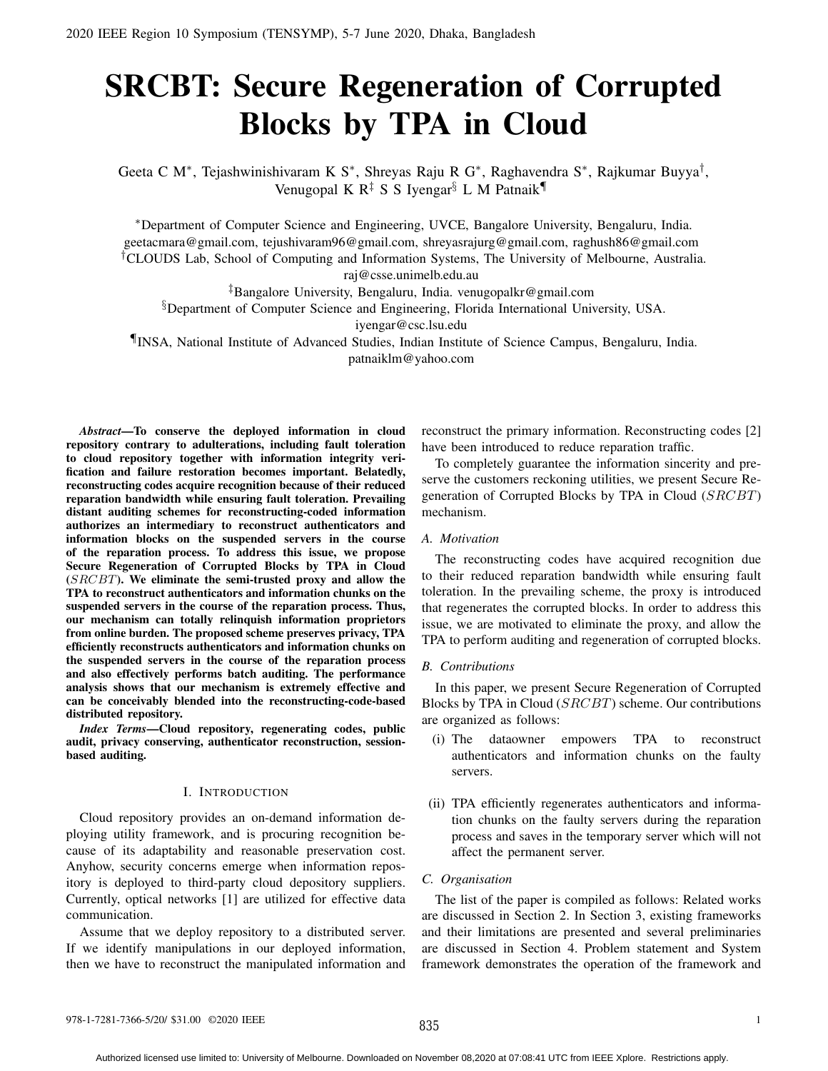# SRCBT: Secure Regeneration of Corrupted Blocks by TPA in Cloud

Geeta C M<sup>∗</sup>, Tejashwinishivaram K S<sup>∗</sup>, Shreyas Raju R G<sup>∗</sup>, Raghavendra S<sup>∗</sup>, Rajkumar Buyya<sup>†</sup>, Venugopal K  $R^{\ddagger}$  S S Iyengar<sup>§</sup> L M Patnaik<sup>¶</sup>

<sup>∗</sup>Department of Computer Science and Engineering, UVCE, Bangalore University, Bengaluru, India. geetacmara@gmail.com, tejushivaram96@gmail.com, shreyasrajurg@gmail.com, raghush86@gmail.com †CLOUDS Lab, School of Computing and Information Systems, The University of Melbourne, Australia. raj@csse.unimelb.edu.au

‡Bangalore University, Bengaluru, India. venugopalkr@gmail.com §Department of Computer Science and Engineering, Florida International University, USA.

iyengar@csc.lsu.edu

¶INSA, National Institute of Advanced Studies, Indian Institute of Science Campus, Bengaluru, India. patnaiklm@yahoo.com

*Abstract*—To conserve the deployed information in cloud repository contrary to adulterations, including fault toleration to cloud repository together with information integrity verification and failure restoration becomes important. Belatedly, reconstructing codes acquire recognition because of their reduced reparation bandwidth while ensuring fault toleration. Prevailing distant auditing schemes for reconstructing-coded information authorizes an intermediary to reconstruct authenticators and information blocks on the suspended servers in the course of the reparation process. To address this issue, we propose Secure Regeneration of Corrupted Blocks by TPA in Cloud (SRCBT). We eliminate the semi-trusted proxy and allow the TPA to reconstruct authenticators and information chunks on the suspended servers in the course of the reparation process. Thus, our mechanism can totally relinquish information proprietors from online burden. The proposed scheme preserves privacy, TPA efficiently reconstructs authenticators and information chunks on the suspended servers in the course of the reparation process and also effectively performs batch auditing. The performance analysis shows that our mechanism is extremely effective and can be conceivably blended into the reconstructing-code-based distributed repository.

*Index Terms*—Cloud repository, regenerating codes, public audit, privacy conserving, authenticator reconstruction, sessionbased auditing.

#### I. INTRODUCTION

Cloud repository provides an on-demand information deploying utility framework, and is procuring recognition because of its adaptability and reasonable preservation cost. Anyhow, security concerns emerge when information repository is deployed to third-party cloud depository suppliers. Currently, optical networks [1] are utilized for effective data communication.

Assume that we deploy repository to a distributed server. If we identify manipulations in our deployed information, then we have to reconstruct the manipulated information and

reconstruct the primary information. Reconstructing codes [2] have been introduced to reduce reparation traffic.

To completely guarantee the information sincerity and preserve the customers reckoning utilities, we present Secure Regeneration of Corrupted Blocks by TPA in Cloud (SRCBT) mechanism.

#### *A. Motivation*

The reconstructing codes have acquired recognition due to their reduced reparation bandwidth while ensuring fault toleration. In the prevailing scheme, the proxy is introduced that regenerates the corrupted blocks. In order to address this issue, we are motivated to eliminate the proxy, and allow the TPA to perform auditing and regeneration of corrupted blocks.

## *B. Contributions*

In this paper, we present Secure Regeneration of Corrupted Blocks by TPA in Cloud (SRCBT) scheme. Our contributions are organized as follows:

- (i) The dataowner empowers TPA to reconstruct authenticators and information chunks on the faulty servers.
- (ii) TPA efficiently regenerates authenticators and information chunks on the faulty servers during the reparation process and saves in the temporary server which will not affect the permanent server.

# *C. Organisation*

The list of the paper is compiled as follows: Related works are discussed in Section 2. In Section 3, existing frameworks and their limitations are presented and several preliminaries are discussed in Section 4. Problem statement and System framework demonstrates the operation of the framework and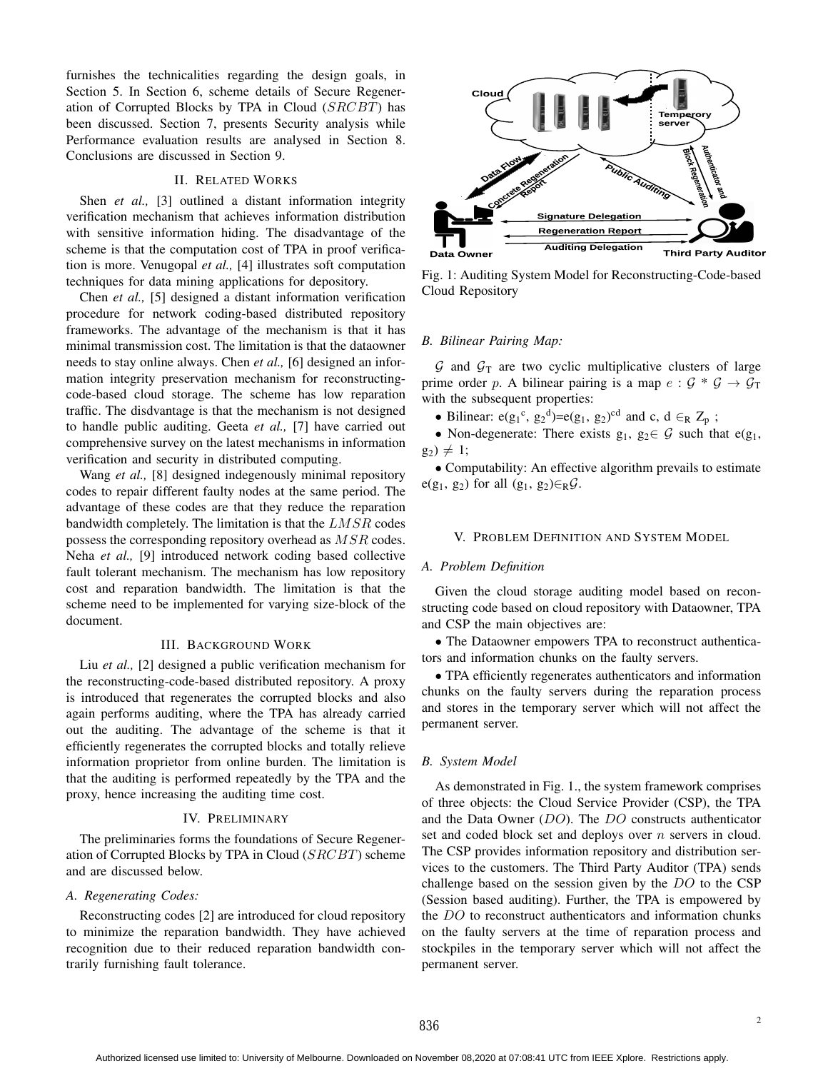furnishes the technicalities regarding the design goals, in Section 5. In Section 6, scheme details of Secure Regeneration of Corrupted Blocks by TPA in Cloud (SRCBT) has been discussed. Section 7, presents Security analysis while Performance evaluation results are analysed in Section 8. Conclusions are discussed in Section 9.

# II. RELATED WORKS

Shen *et al.*, [3] outlined a distant information integrity verification mechanism that achieves information distribution with sensitive information hiding. The disadvantage of the scheme is that the computation cost of TPA in proof verification is more. Venugopal *et al.,* [4] illustrates soft computation techniques for data mining applications for depository.

Chen *et al.,* [5] designed a distant information verification procedure for network coding-based distributed repository frameworks. The advantage of the mechanism is that it has minimal transmission cost. The limitation is that the dataowner needs to stay online always. Chen *et al.,* [6] designed an information integrity preservation mechanism for reconstructingcode-based cloud storage. The scheme has low reparation traffic. The disdvantage is that the mechanism is not designed to handle public auditing. Geeta *et al.,* [7] have carried out comprehensive survey on the latest mechanisms in information verification and security in distributed computing.

Wang *et al.,* [8] designed indegenously minimal repository codes to repair different faulty nodes at the same period. The advantage of these codes are that they reduce the reparation bandwidth completely. The limitation is that the  $LMSR$  codes possess the corresponding repository overhead as MSR codes. Neha *et al.,* [9] introduced network coding based collective fault tolerant mechanism. The mechanism has low repository cost and reparation bandwidth. The limitation is that the scheme need to be implemented for varying size-block of the document.

# III. BACKGROUND WORK

Liu *et al.,* [2] designed a public verification mechanism for the reconstructing-code-based distributed repository. A proxy is introduced that regenerates the corrupted blocks and also again performs auditing, where the TPA has already carried out the auditing. The advantage of the scheme is that it efficiently regenerates the corrupted blocks and totally relieve information proprietor from online burden. The limitation is that the auditing is performed repeatedly by the TPA and the proxy, hence increasing the auditing time cost.

## IV. PRELIMINARY

The preliminaries forms the foundations of Secure Regeneration of Corrupted Blocks by TPA in Cloud  $(SRCBT)$  scheme and are discussed below.

#### *A. Regenerating Codes:*

Reconstructing codes [2] are introduced for cloud repository to minimize the reparation bandwidth. They have achieved recognition due to their reduced reparation bandwidth contrarily furnishing fault tolerance.



Fig. 1: Auditing System Model for Reconstructing-Code-based Cloud Repository

## *B. Bilinear Pairing Map:*

 $G$  and  $G_T$  are two cyclic multiplicative clusters of large prime order p. A bilinear pairing is a map  $e : \mathcal{G} * \mathcal{G} \to \mathcal{G}_T$ with the subsequent properties:

• Bilinear:  $e(g_1^c, g_2^d) = e(g_1, g_2)^{cd}$  and c,  $d \in_R Z_p$ ;

• Non-degenerate: There exists  $g_1, g_2 \in \mathcal{G}$  such that  $e(g_1, g_2)$  $g_2) \neq 1;$ 

• Computability: An effective algorithm prevails to estimate e(g<sub>1</sub>, g<sub>2</sub>) for all (g<sub>1</sub>, g<sub>2</sub>) $\in$ <sub>R</sub> $\mathcal{G}$ .

#### V. PROBLEM DEFINITION AND SYSTEM MODEL

#### *A. Problem Definition*

Given the cloud storage auditing model based on reconstructing code based on cloud repository with Dataowner, TPA and CSP the main objectives are:

• The Dataowner empowers TPA to reconstruct authenticators and information chunks on the faulty servers.

• TPA efficiently regenerates authenticators and information chunks on the faulty servers during the reparation process and stores in the temporary server which will not affect the permanent server.

### *B. System Model*

As demonstrated in Fig. 1., the system framework comprises of three objects: the Cloud Service Provider (CSP), the TPA and the Data Owner (DO). The DO constructs authenticator set and coded block set and deploys over *n* servers in cloud. The CSP provides information repository and distribution services to the customers. The Third Party Auditor (TPA) sends challenge based on the session given by the DO to the CSP (Session based auditing). Further, the TPA is empowered by the DO to reconstruct authenticators and information chunks on the faulty servers at the time of reparation process and stockpiles in the temporary server which will not affect the permanent server.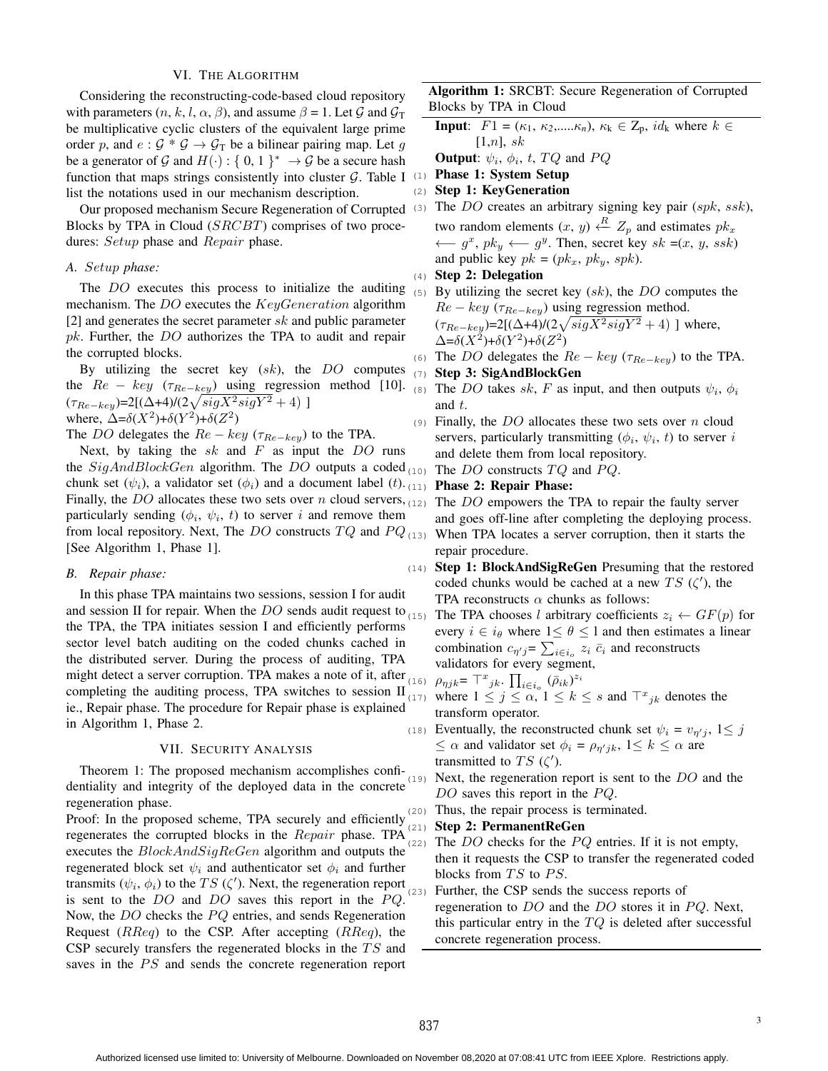# VI. THE ALGORITHM

Considering the reconstructing-code-based cloud repository with parameters  $(n, k, l, \alpha, \beta)$ , and assume  $\beta = 1$ . Let  $\mathcal G$  and  $\mathcal G_T$ be multiplicative cyclic clusters of the equivalent large prime order p, and  $e : \mathcal{G} * \mathcal{G} \to \mathcal{G}_T$  be a bilinear pairing map. Let g be a generator of G and  $H(\cdot): \{0, 1\}^* \to \mathcal{G}$  be a secure hash function that maps strings consistently into cluster  $G$ . Table I list the notations used in our mechanism description.

Our proposed mechanism Secure Regeneration of Corrupted Blocks by TPA in Cloud (SRCBT) comprises of two procedures: Setup phase and Repair phase.

# *A.* Setup *phase:*

The *DO* executes this process to initialize the auditing mechanism. The DO executes the KeyGeneration algorithm [2] and generates the secret parameter  $sk$  and public parameter pk. Further, the DO authorizes the TPA to audit and repair the corrupted blocks.

By utilizing the secret key  $(sk)$ , the  $DO$  computes the  $Re - key$  ( $\tau_{Re-key}$ ) using regression method [10]. (8) The DO takes sk, F as input, and then outputs  $\psi_i$ ,  $\phi_i$  $(\tau_{Re-key}) = 2[(\Delta+4)/(2\sqrt{sigX^2 sigY^2} + 4)]$ where,  $\Delta = \delta(X^2) + \delta(Y^2) + \delta(Z^2)$ 

The DO delegates the  $Re - key (\tau_{Re-key})$  to the TPA.

Next, by taking the  $sk$  and  $F$  as input the  $DO$  runs the SigAndBlockGen algorithm. The DO outputs a coded  $_{(10)}$  The DO constructs TQ and PQ. chunk set  $(\psi_i)$ , a validator set  $(\phi_i)$  and a document label  $(t)$ . (11) **Phase 2: Repair Phase:** Finally, the DO allocates these two sets over n cloud servers,  $(12)$  The DO empowers the TPA to repair the faulty server particularly sending  $(\phi_i, \psi_i, t)$  to server i and remove them from local repository. Next, The DO constructs  $TQ$  and  $PQ_{(13)}$  When TPA locates a server corruption, then it starts the [See Algorithm 1, Phase 1].

## *B. Repair phase:*

In this phase TPA maintains two sessions, session I for audit and session II for repair. When the DO sends audit request to  $_{(15)}$  The TPA chooses l arbitrary coefficients  $z_i \leftarrow GF(p)$  for the TPA, the TPA initiates session I and efficiently performs sector level batch auditing on the coded chunks cached in the distributed server. During the process of auditing, TPA might detect a server corruption. TPA makes a note of it, after  $\rho_{\eta j k} = \top^x{}_{jk}$ .  $\prod_{i \in i_o} (\bar{\rho}_{ik})^{z_i}$ completing the auditing process, TPA switches to session II ie., Repair phase. The procedure for Repair phase is explained in Algorithm 1, Phase 2.

# VII. SECURITY ANALYSIS

Theorem 1: The proposed mechanism accomplishes confi- $(19)$ dentiality and integrity of the deployed data in the concrete regeneration phase.

Proof: In the proposed scheme, TPA securely and efficiently  $\frac{(20)}{(20)}$ regenerates the corrupted blocks in the Repair phase. TPA executes the  $BlockAndSigReGen$  algorithm and outputs the regenerated block set  $\psi_i$  and authenticator set  $\phi_i$  and further transmits  $(\psi_i, \phi_i)$  to the TS ( $\zeta'$ ). Next, the regeneration report is sent to the  $DO$  and  $DO$  saves this report in the  $PQ$ . Now, the  $DO$  checks the  $PQ$  entries, and sends Regeneration Request  $(RReq)$  to the CSP. After accepting  $(RReq)$ , the CSP securely transfers the regenerated blocks in the  $TS$  and saves in the PS and sends the concrete regeneration report

Algorithm 1: SRCBT: Secure Regeneration of Corrupted Blocks by TPA in Cloud

**Input:**  $F1 = (\kappa_1, \kappa_2, ..., \kappa_n), \kappa_k \in \mathbb{Z}_p, id_k$  where  $k \in \mathbb{Z}_p$  $[1,n]$ , sk

**Output**:  $\psi_i$ ,  $\phi_i$ , t,  $TQ$  and  $PQ$ 

(1) Phase 1: System Setup

(2) Step 1: KeyGeneration

(3) The DO creates an arbitrary signing key pair  $(spk, ssk)$ ,

two random elements  $(x, y) \stackrel{R}{\leftarrow} Z_p$  and estimates  $pk_x$  $\longleftarrow$  g<sup>x</sup>, pk<sub>y</sub>  $\longleftarrow$  g<sup>y</sup>. Then, secret key sk =(x, y, ssk) and public key  $pk = (pk_x, pk_y, spk)$ .

(4) Step 2: Delegation

(5) By utilizing the secret key  $(sk)$ , the DO computes the  $Re - key \left( \tau_{Re-key} \right)$  using regression method.  $(\tau_{Re-key})$ =2[( $\Delta+4$ )/(2 $\sqrt{sigX^2 sigY^2} + 4$ ) ] where,  $\Delta = \delta(X^2) + \delta(Y^2) + \delta(Z^2)$ 

(6) The DO delegates the  $Re - key (\tau_{Re-key})$  to the TPA.

(7) Step 3: SigAndBlockGen

- and t.
- (9) Finally, the DO allocates these two sets over n cloud servers, particularly transmitting  $(\phi_i, \psi_i, t)$  to server i and delete them from local repository.
	-

and goes off-line after completing the deploying process. repair procedure.

(14) Step 1: BlockAndSigReGen Presuming that the restored coded chunks would be cached at a new TS  $(\zeta')$ , the TPA reconstructs  $\alpha$  chunks as follows:

every  $i \in i_{\theta}$  where  $1 \leq \theta \leq 1$  and then estimates a linear combination  $c_{\eta'j} = \sum_{i \in i_o} z_i \bar{c}_i$  and reconstructs validators for every segment,

(17) where  $1 \leq j \leq \alpha$ ,  $1 \leq k \leq s$  and  $\overline{\mathcal{F}}_{jk}^x$  denotes the transform operator.

(18) Eventually, the reconstructed chunk set  $\psi_i = v_{\eta'j}, 1 \leq j$  $\leq \alpha$  and validator set  $\phi_i = \rho_{\eta'jk}$ ,  $1 \leq k \leq \alpha$  are transmitted to  $TS(\zeta')$ .

Next, the regeneration report is sent to the  $DO$  and the  $DO$  saves this report in the  $PQ$ .

Thus, the repair process is terminated.

## Step 2: PermanentReGen

(22) The  $DO$  checks for the  $PQ$  entries. If it is not empty, then it requests the CSP to transfer the regenerated coded blocks from  $TS$  to  $PS$ .

(23) Further, the CSP sends the success reports of

regeneration to  $DO$  and the  $DO$  stores it in  $PQ$ . Next, this particular entry in the  $TQ$  is deleted after successful concrete regeneration process.